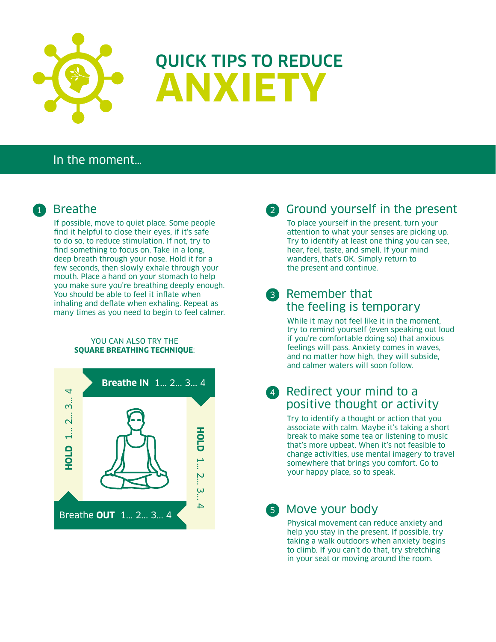

# QUICK TIPS TO REDUCE **ANXIETY**

## In the moment…



#### **1** Breathe

If possible, move to quiet place. Some people find it helpful to close their eyes, if it's safe to do so, to reduce stimulation. If not, try to find something to focus on. Take in a long, deep breath through your nose. Hold it for a few seconds, then slowly exhale through your mouth. Place a hand on your stomach to help you make sure you're breathing deeply enough. You should be able to feel it inflate when inhaling and deflate when exhaling. Repeat as many times as you need to begin to feel calmer.

#### YOU CAN ALSO TRY THE **SQUARE BREATHING TECHNIQUE**:



# 2 Ground yourself in the present

To place yourself in the present, turn your attention to what your senses are picking up. Try to identify at least one thing you can see, hear, feel, taste, and smell. If your mind wanders, that's OK. Simply return to the present and continue.

#### **3** Remember that the feeling is temporary

While it may not feel like it in the moment. try to remind yourself (even speaking out loud if you're comfortable doing so) that anxious feelings will pass. Anxiety comes in waves, and no matter how high, they will subside, and calmer waters will soon follow.

#### 4 Redirect your mind to a positive thought or activity

Try to identify a thought or action that you associate with calm. Maybe it's taking a short break to make some tea or listening to music that's more upbeat. When it's not feasible to change activities, use mental imagery to travel somewhere that brings you comfort. Go to your happy place, so to speak.

# 5 Move your body

Physical movement can reduce anxiety and help you stay in the present. If possible, try taking a walk outdoors when anxiety begins to climb. If you can't do that, try stretching in your seat or moving around the room.